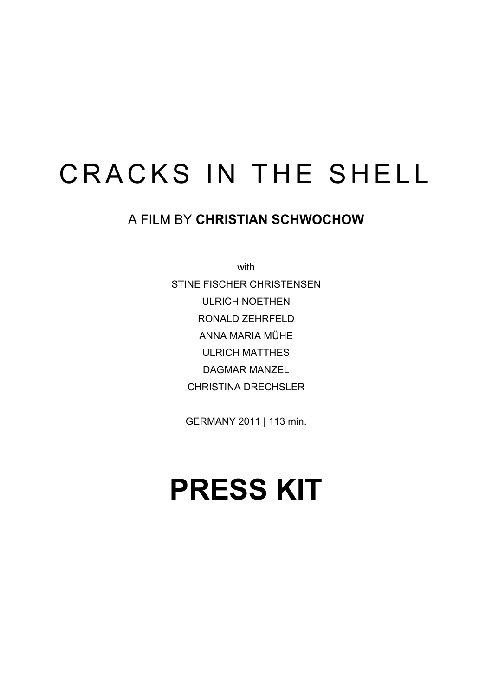# CRACKS IN THE SHELL

### A FILM BY **CHRISTIAN SCHWOCHOW**

with STINE FISCHER CHRISTENSEN ULRICH NOETHEN

> RONALD ZEHRFELD ANNA MARIA MÜHE

ULRICH MATTHES

DAGMAR MANZEL

CHRISTINA DRECHSLER

GERMANY 2011 | 113 min.

# **PRESS KIT**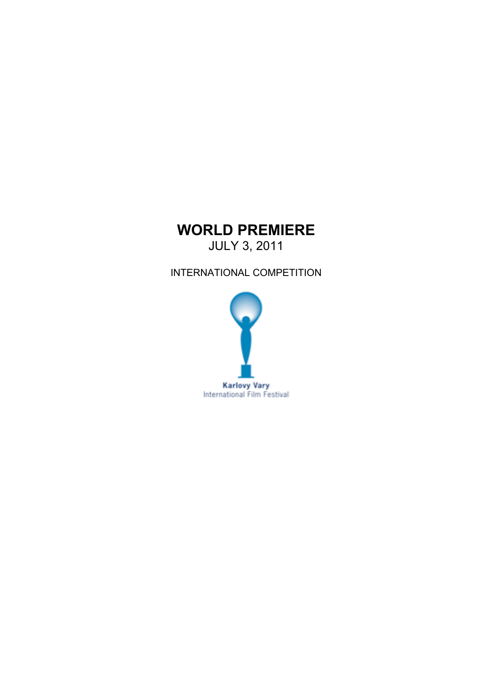### **WORLD PREMIERE**

JULY 3, 2011

INTERNATIONAL COMPETITION

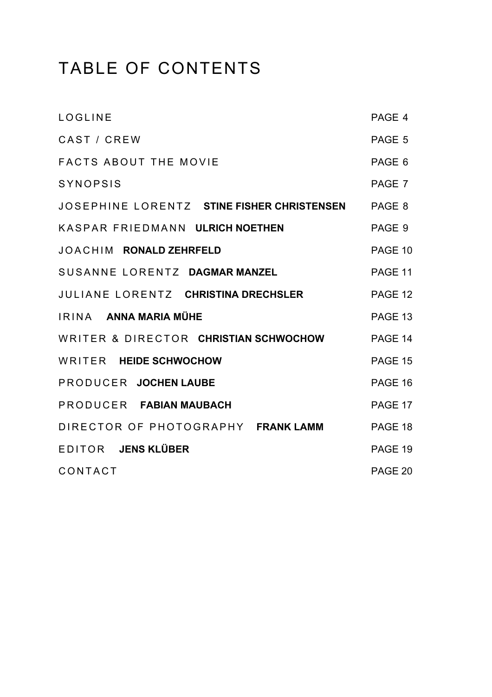# TABLE OF CONTENTS

| LOGLINE                                           | PAGE 4  |
|---------------------------------------------------|---------|
| CAST / CREW                                       | PAGE 5  |
| <b>FACTS ABOUT THE MOVIE</b>                      | PAGE 6  |
| <b>SYNOPSIS</b>                                   | PAGE 7  |
| JOSEPHINE LORENTZ STINE FISHER CHRISTENSEN PAGE 8 |         |
| KASPAR FRIEDMANN ULRICH NOETHEN                   | PAGE 9  |
| <b>JOACHIM RONALD ZEHRFELD</b>                    | PAGE 10 |
| SUSANNE LORENTZ DAGMAR MANZEL                     | PAGE 11 |
| JULIANE LORENTZ CHRISTINA DRECHSLER               | PAGE 12 |
| IRINA ANNA MARIA MÜHE                             | PAGE 13 |
| WRITER & DIRECTOR CHRISTIAN SCHWOCHOW             | PAGE 14 |
| WRITER HEIDE SCHWOCHOW                            | PAGE 15 |
| PRODUCER JOCHEN LAUBE                             | PAGE 16 |
| PRODUCER FABIAN MAUBACH                           | PAGE 17 |
| DIRECTOR OF PHOTOGRAPHY FRANK LAMM                | PAGE 18 |
| EDITOR JENS KLÜBER                                | PAGE 19 |
| CONTACT                                           | PAGE 20 |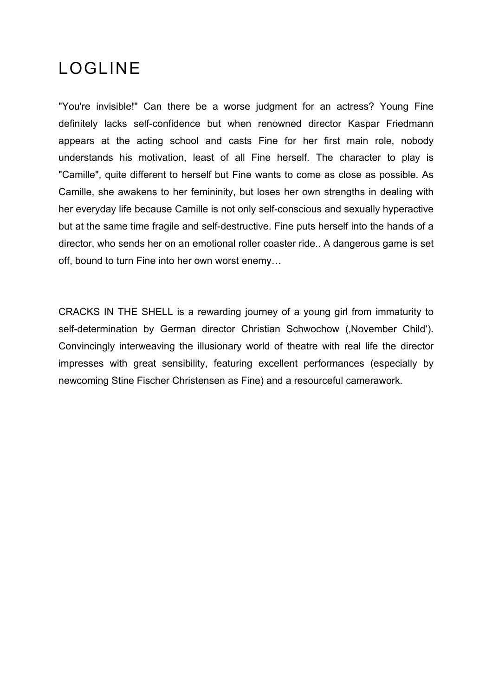## LOGLINE

"You're invisible!" Can there be a worse judgment for an actress? Young Fine definitely lacks self-confidence but when renowned director Kaspar Friedmann appears at the acting school and casts Fine for her first main role, nobody understands his motivation, least of all Fine herself. The character to play is "Camille", quite different to herself but Fine wants to come as close as possible. As Camille, she awakens to her femininity, but loses her own strengths in dealing with her everyday life because Camille is not only self-conscious and sexually hyperactive but at the same time fragile and self-destructive. Fine puts herself into the hands of a director, who sends her on an emotional roller coaster ride.. A dangerous game is set off, bound to turn Fine into her own worst enemy…

CRACKS IN THE SHELL is a rewarding journey of a young girl from immaturity to self-determination by German director Christian Schwochow (, November Child'). Convincingly interweaving the illusionary world of theatre with real life the director impresses with great sensibility, featuring excellent performances (especially by newcoming Stine Fischer Christensen as Fine) and a resourceful camerawork.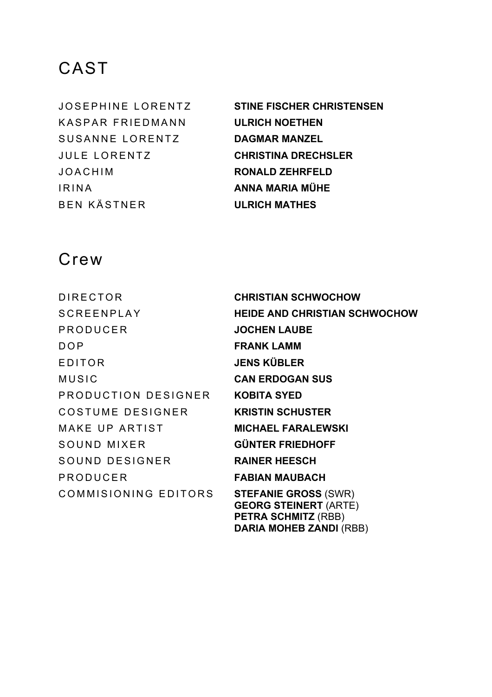KASPAR FRIEDMANN **ULRICH NOETHEN** SUSANNE LORENTZ **DAGMAR MANZEL** JULE LORENTZ **CHRISTINA DRECHSLER** JOACHIM **RONALD ZEHRFELD** IRINA **ANNA MARIA MÜHE** BEN KÄSTNER **ULRICH MATHES**

JOSEPHINE LORENTZ **STINE FISCHER CHRISTENSEN**

**DARIA MOHEB ZANDI (RBB)** 

### Crew

DIRECTOR **CHRISTIAN SCHWOCHOW** SCREENPLAY **HEIDE AND CHRISTIAN SCHWOCHOW** PRODUCER **JOCHEN LAUBE** DOP **FRANK LAMM** EDITOR **JENS KÜBLER**  MUSIC **CAN ERDOGAN SUS** PRODUCTION DESIGNER **KOBITA SYED** COSTUME DESIGNER **KRISTIN SCHUSTER** MAKE UP ARTIST **MICHAEL FARALEWSKI** SOUND MIXER **GÜNTER FRIEDHOFF** SOUND DESIGNER **RAINER HEESCH** PRODUCER **FABIAN MAUBACH** COMMISIONING EDITORS **STEFANIE GROSS** (SWR) **GEORG STEINERT** (ARTE) **PETRA SCHMITZ** (RBB)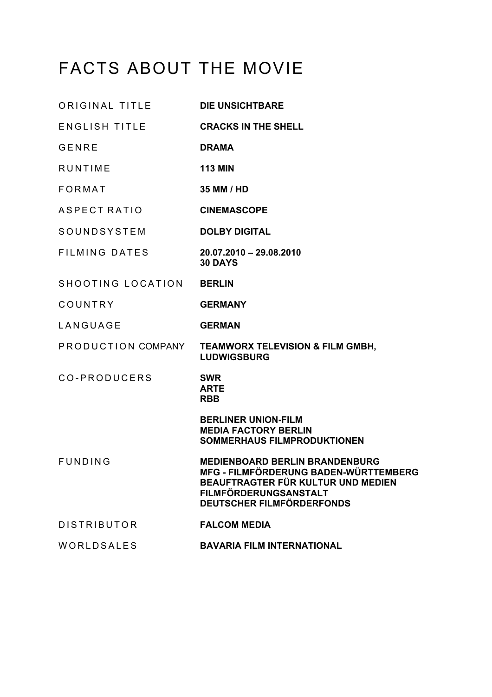# FACTS ABOUT THE MOVIE

| ORIGINAL TITLE       | <b>DIE UNSICHTBARE</b>                                                                                                                                                     |
|----------------------|----------------------------------------------------------------------------------------------------------------------------------------------------------------------------|
| <b>ENGLISH TITLE</b> | <b>CRACKS IN THE SHELL</b>                                                                                                                                                 |
| <b>GENRE</b>         | <b>DRAMA</b>                                                                                                                                                               |
| <b>RUNTIME</b>       | <b>113 MIN</b>                                                                                                                                                             |
| <b>FORMAT</b>        | 35 MM / HD                                                                                                                                                                 |
| <b>ASPECT RATIO</b>  | <b>CINEMASCOPE</b>                                                                                                                                                         |
| SOUNDSYSTEM          | <b>DOLBY DIGITAL</b>                                                                                                                                                       |
| <b>FILMING DATES</b> | 20.07.2010 - 29.08.2010<br><b>30 DAYS</b>                                                                                                                                  |
| SHOOTING LOCATION    | <b>BERLIN</b>                                                                                                                                                              |
| COUNTRY              | <b>GERMANY</b>                                                                                                                                                             |
| LANGUAGE             | <b>GERMAN</b>                                                                                                                                                              |
| PRODUCTION COMPANY   | <b>TEAMWORX TELEVISION &amp; FILM GMBH,</b><br><b>LUDWIGSBURG</b>                                                                                                          |
| CO-PRODUCERS         | <b>SWR</b><br><b>ARTE</b><br><b>RBB</b>                                                                                                                                    |
|                      | <b>BERLINER UNION-FILM</b><br><b>MEDIA FACTORY BERLIN</b><br><b>SOMMERHAUS FILMPRODUKTIONEN</b>                                                                            |
| <b>FUNDING</b>       | <b>MEDIENBOARD BERLIN BRANDENBURG</b><br>MFG - FILMFÖRDERUNG BADEN-WÜRTTEMBERG<br>BEAUFTRAGTER FÜR KULTUR UND MEDIEN<br>FILMFÖRDERUNGSANSTALT<br>DEUTSCHER FILMFÖRDERFONDS |
| <b>DISTRIBUTOR</b>   | <b>FALCOM MEDIA</b>                                                                                                                                                        |
| WORLDSALES           | <b>BAVARIA FILM INTERNATIONAL</b>                                                                                                                                          |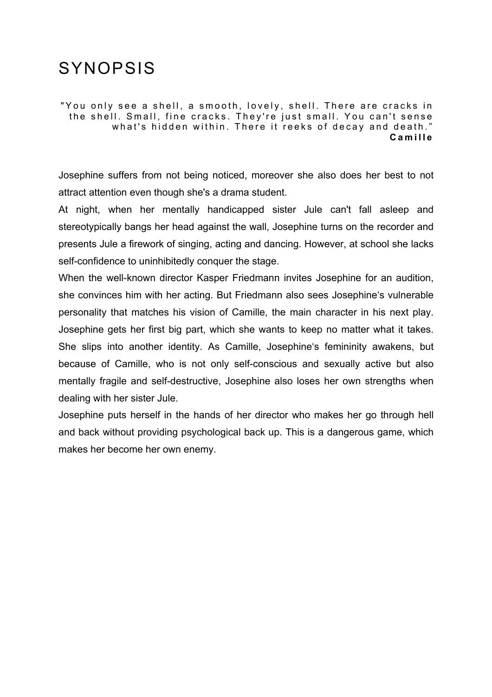## SYNOPSIS

"You only see a shell, a smooth, lovely, shell. There are cracks in the shell. Small, fine cracks. They're just small. You can't sense what's hidden within. There it reeks of decay and death." **Camille** 

Josephine suffers from not being noticed, moreover she also does her best to not attract attention even though she's a drama student.

At night, when her mentally handicapped sister Jule can't fall asleep and stereotypically bangs her head against the wall, Josephine turns on the recorder and presents Jule a firework of singing, acting and dancing. However, at school she lacks self-confidence to uninhibitedly conquer the stage.

When the well-known director Kasper Friedmann invites Josephine for an audition, she convinces him with her acting. But Friedmann also sees Josephine's vulnerable personality that matches his vision of Camille, the main character in his next play. Josephine gets her first big part, which she wants to keep no matter what it takes. She slips into another identity. As Camille, Josephine's femininity awakens, but because of Camille, who is not only self-conscious and sexually active but also mentally fragile and self-destructive, Josephine also loses her own strengths when dealing with her sister Jule.

Josephine puts herself in the hands of her director who makes her go through hell and back without providing psychological back up. This is a dangerous game, which makes her become her own enemy.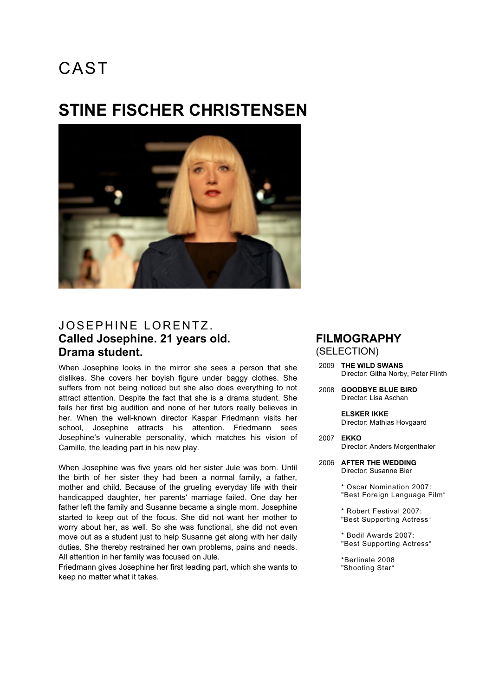### **STINE FISCHER CHRISTENSEN**



### JOSEPHINE LORENTZ. **Called Josephine. 21 years old. Drama student.**

When Josephine looks in the mirror she sees a person that she dislikes. She covers her boyish figure under baggy clothes. She suffers from not being noticed but she also does everything to not attract attention. Despite the fact that she is a drama student. She fails her first big audition and none of her tutors really believes in her. When the well-known director Kaspar Friedmann visits her school, Josephine attracts his attention. Friedmann sees Josephine's vulnerable personality, which matches his vision of Camille, the leading part in his new play.

When Josephine was five years old her sister Jule was born. Until the birth of her sister they had been a normal family, a father, mother and child. Because of the grueling everyday life with their handicapped daughter, her parents' marriage failed. One day her father left the family and Susanne became a single mom. Josephine started to keep out of the focus. She did not want her mother to worry about her, as well. So she was functional, she did not even move out as a student just to help Susanne get along with her daily duties. She thereby restrained her own problems, pains and needs. All attention in her family was focused on Jule.

Friedmann gives Josephine her first leading part, which she wants to keep no matter what it takes.

#### **FILMOGRAPHY** (SELECTION)

- 2009 **THE WILD SWANS** Director: Githa Norby, Peter Flinth
- 2008 **GOODBYE BLUE BIRD** Director: Lisa Aschan

**ELSKER IKKE** Director: Mathias Hovgaard

- 2007 **EKKO** Director: Anders Morgenthaler
- 2006 **AFTER THE WEDDING** Director: Susanne Bier

\* Oscar Nomination 2007: "Best Foreign Language Film"

\* Robert Festival 2007: "Best Supporting Actress"

\* Bodil Awards 2007: "Best Supporting Actress"

\*Berlinale 2008 "Shooting Star"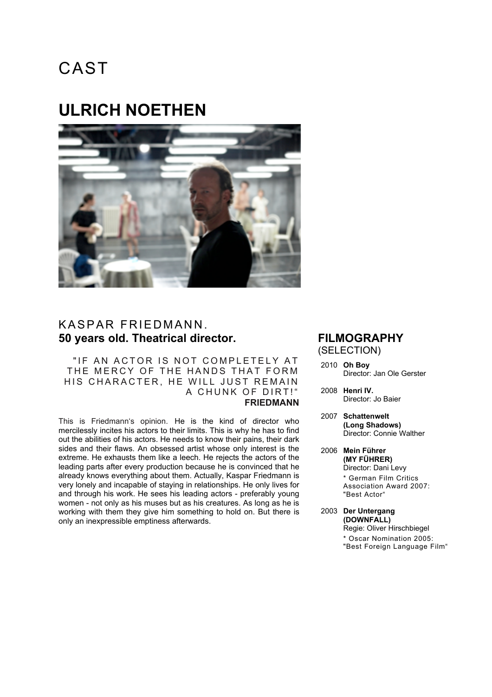### **ULRICH NOETHEN**



#### KASPAR FRIEDMANN. **50 years old. Theatrical director.**

" IF AN ACTOR IS NOT COMPLETELY AT THE MERCY OF THE HANDS THAT FORM HIS CHARACTER, HE WILL JUST REMAIN A CHUNK OF DIRT!" **FRIEDMANN**

This is Friedmann's opinion. He is the kind of director who mercilessly incites his actors to their limits. This is why he has to find out the abilities of his actors. He needs to know their pains, their dark sides and their flaws. An obsessed artist whose only interest is the extreme. He exhausts them like a leech. He rejects the actors of the leading parts after every production because he is convinced that he already knows everything about them. Actually, Kaspar Friedmann is very lonely and incapable of staying in relationships. He only lives for and through his work. He sees his leading actors - preferably young women - not only as his muses but as his creatures. As long as he is working with them they give him something to hold on. But there is only an inexpressible emptiness afterwards.

#### **FILMOGRAPHY** (SELECTION)

- 2010 **Oh Boy** Director: Jan Ole Gerster
- 2008 **Henri IV.** Director: Jo Baier
- 2007 **Schattenwelt (Long Shadows)** Director: Connie Walther
- 2006 **Mein Führer (MY FÜHRER)** Director: Dani Levy \* German Film Critics Association Award 2007: "Best Actor"
- 2003 **Der Untergang (DOWNFALL)** Regie: Oliver Hirschbiegel \* Oscar Nomination 2005: "Best Foreign Language Film"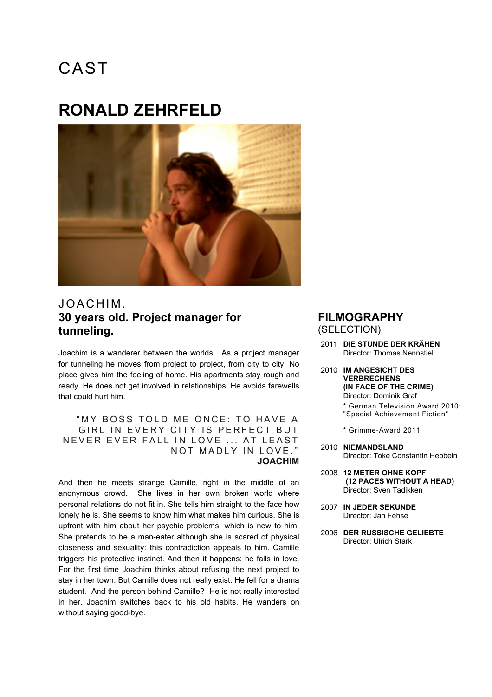### **RONALD ZEHRFELD**



### JOACHIM . **30 years old. Project manager for tunneling.**

Joachim is a wanderer between the worlds. As a project manager for tunneling he moves from project to project, from city to city. No place gives him the feeling of home. His apartments stay rough and ready. He does not get involved in relationships. He avoids farewells that could hurt him.

" MY BOSS TOLD ME ONCE: TO HAVE A GIRL IN EVERY CITY IS PERFECT BUT NEVER EVER FALL IN LOVE ... AT LEAST NOT MADLY IN LOVE." **JOACHIM**

And then he meets strange Camille, right in the middle of an anonymous crowd. She lives in her own broken world where personal relations do not fit in. She tells him straight to the face how lonely he is. She seems to know him what makes him curious. She is upfront with him about her psychic problems, which is new to him. She pretends to be a man-eater although she is scared of physical closeness and sexuality: this contradiction appeals to him. Camille triggers his protective instinct. And then it happens: he falls in love. For the first time Joachim thinks about refusing the next project to stay in her town. But Camille does not really exist. He fell for a drama student. And the person behind Camille? He is not really interested in her. Joachim switches back to his old habits. He wanders on without saying good-bye.

#### **FILMOGRAPHY**

(SELECTION)

- 2011 **DIE STUNDE DER KRÄHEN** Director: Thomas Nennstiel
- 2010 **IM ANGESICHT DES VERBRECHENS (IN FACE OF THE CRIME)** Director: Dominik Graf

\* German Television Award 2010: "Special Achievement Fiction"

- \* Grimme-Award 2011
- 2010 **NIEMANDSLAND** Director: Toke Constantin Hebbeln
- 2008 **12 METER OHNE KOPF (12 PACES WITHOUT A HEAD)** Director: Sven Tadikken
- 2007 **IN JEDER SEKUNDE** Director: Jan Fehse
- 2006 **DER RUSSISCHE GELIEBTE** Director: Ulrich Stark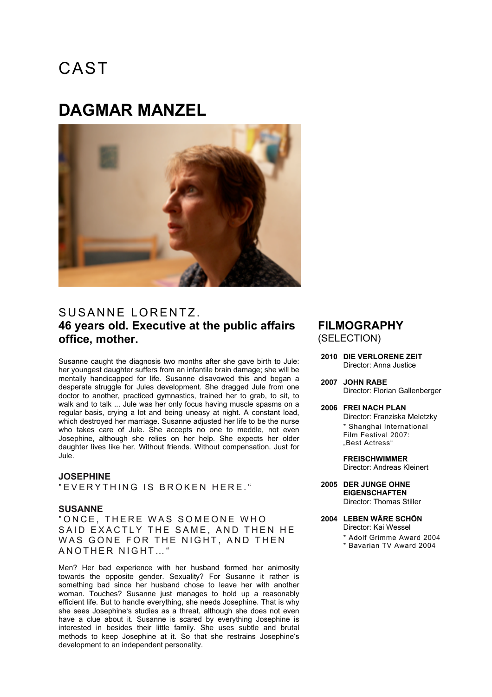### **DAGMAR MANZEL**



### SUSANNE LORENTZ. **46 years old. Executive at the public affairs office, mother.**

Susanne caught the diagnosis two months after she gave birth to Jule: her youngest daughter suffers from an infantile brain damage; she will be mentally handicapped for life. Susanne disavowed this and began a desperate struggle for Jules development. She dragged Jule from one doctor to another, practiced gymnastics, trained her to grab, to sit, to walk and to talk ... Jule was her only focus having muscle spasms on a regular basis, crying a lot and being uneasy at night. A constant load, which destroyed her marriage. Susanne adjusted her life to be the nurse who takes care of Jule. She accepts no one to meddle, not even Josephine, although she relies on her help. She expects her older daughter lives like her. Without friends. Without compensation. Just for Jule.

#### **JOSEPHINE** " FVERYTHING IS BROKEN HERE.

#### **SUSANNE**

" ONCE, THERE WAS SOMEONE WHO SAID EXACTLY THE SAME, AND THEN HE WAS GONE FOR THE NIGHT, AND THEN ANOTHER NIGHT … "

Men? Her bad experience with her husband formed her animosity towards the opposite gender. Sexuality? For Susanne it rather is something bad since her husband chose to leave her with another woman. Touches? Susanne just manages to hold up a reasonably efficient life. But to handle everything, she needs Josephine. That is why she sees Josephine's studies as a threat, although she does not even have a clue about it. Susanne is scared by everything Josephine is interested in besides their little family. She uses subtle and brutal methods to keep Josephine at it. So that she restrains Josephine's development to an independent personality.

#### **FILMOGRAPHY** (SELECTION)

- **2010 DIE VERLORENE ZEIT** Director: Anna Justice
- **2007 JOHN RABE** Director: Florian Gallenberger
- **2006 FREI NACH PLAN** Director: Franziska Meletzky \* Shanghai International Film Festival 2007: "Best Actress"

**FREISCHWIMMER** Director: Andreas Kleinert

- **2005 DER JUNGE OHNE EIGENSCHAFTEN** Director: Thomas Stiller
- **2004 LEBEN WÄRE SCHÖN**
	- Director: Kai Wessel
	- \* Adolf Grimme Award 2004
	- \* Bavarian TV Award 2004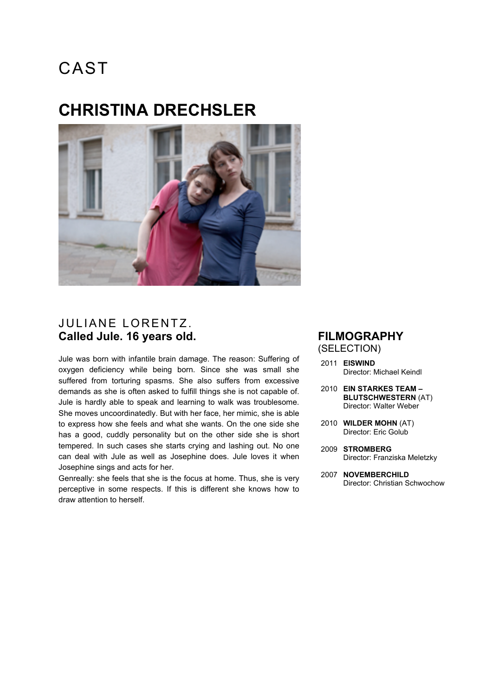### **CHRISTINA DRECHSLER**



### JULIANE LORENTZ. **Called Jule. 16 years old.**

Jule was born with infantile brain damage. The reason: Suffering of oxygen deficiency while being born. Since she was small she suffered from torturing spasms. She also suffers from excessive demands as she is often asked to fulfill things she is not capable of. Jule is hardly able to speak and learning to walk was troublesome. She moves uncoordinatedly. But with her face, her mimic, she is able to express how she feels and what she wants. On the one side she has a good, cuddly personality but on the other side she is short tempered. In such cases she starts crying and lashing out. No one can deal with Jule as well as Josephine does. Jule loves it when Josephine sings and acts for her.

Genreally: she feels that she is the focus at home. Thus, she is very perceptive in some respects. If this is different she knows how to draw attention to herself.

#### **FILMOGRAPHY** (SELECTION)

- 2011 **EISWIND** Director: Michael Keindl
- 2010 **EIN STARKES TEAM – BLUTSCHWESTERN** (AT) Director: Walter Weber
- 2010 **WILDER MOHN** (AT) Director: Eric Golub
- 2009 **STROMBERG**  Director: Franziska Meletzky
- 2007 **NOVEMBERCHILD** Director: Christian Schwochow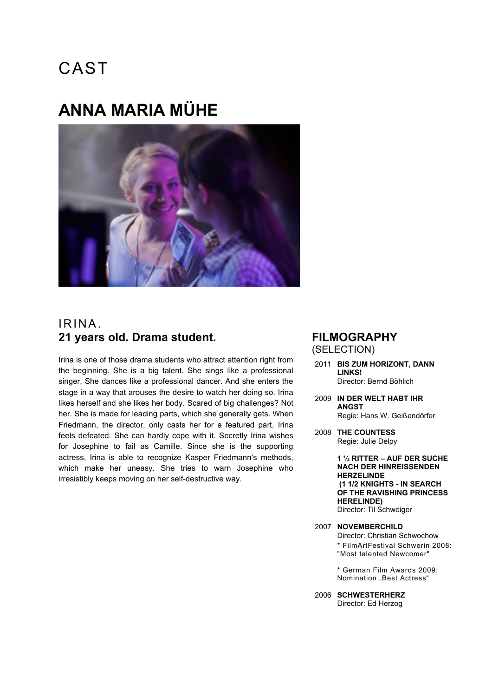## **ANNA MARIA MÜHE**



### IRINA. **21 years old. Drama student.**

Irina is one of those drama students who attract attention right from the beginning. She is a big talent. She sings like a professional singer, She dances like a professional dancer. And she enters the stage in a way that arouses the desire to watch her doing so. Irina likes herself and she likes her body. Scared of big challenges? Not her. She is made for leading parts, which she generally gets. When Friedmann, the director, only casts her for a featured part, Irina feels defeated. She can hardly cope with it. Secretly Irina wishes for Josephine to fail as Camille. Since she is the supporting actress, Irina is able to recognize Kasper Friedmann's methods, which make her uneasy. She tries to warn Josephine who irresistibly keeps moving on her self-destructive way.

#### **FILMOGRAPHY** (SELECTION)

- 2011 **BIS ZUM HORIZONT, DANN LINKS!** Director: Bernd Böhlich
- 2009 **IN DER WELT HABT IHR ANGST** Regie: Hans W. Geißendörfer
- 2008 **THE COUNTESS** Regie: Julie Delpy

**1 ½ RITTER – AUF DER SUCHE NACH DER HINREISSENDEN HERZELINDE (1 1/2 KNIGHTS - IN SEARCH OF THE RAVISHING PRINCESS HERELINDE)** Director: Til Schweiger

2007 **NOVEMBERCHILD** Director: Christian Schwochow \* FilmArtFestival Schwerin 2008: "Most talented Newcomer"

> \* German Film Awards 2009: Nomination "Best Actress"

2006 **SCHWESTERHERZ** Director: Ed Herzog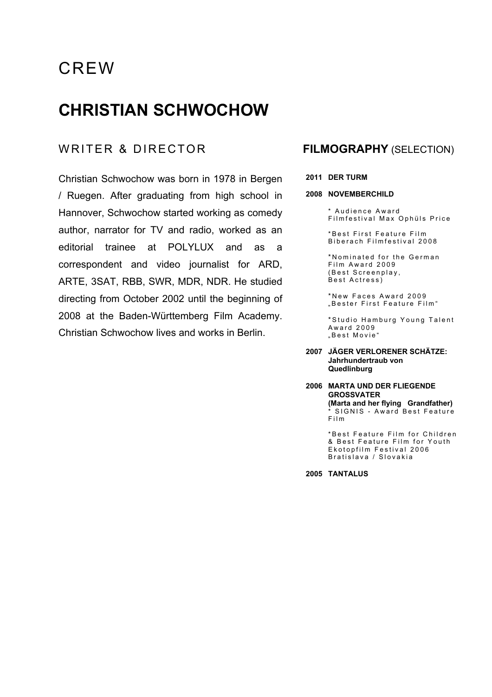### **CHRISTIAN SCHWOCHOW**

#### WRITER & DIRECTOR **FILMOGRAPHY** (SELECTION)

Christian Schwochow was born in 1978 in Bergen / Ruegen. After graduating from high school in Hannover, Schwochow started working as comedy author, narrator for TV and radio, worked as an editorial trainee at POLYLUX and as a correspondent and video journalist for ARD, ARTE, 3SAT, RBB, SWR, MDR, NDR. He studied directing from October 2002 until the beginning of 2008 at the Baden-Württemberg Film Academy. Christian Schwochow lives and works in Berlin.

#### **2011 DER TURM**

#### **2008 NOVEMBERCHILD**

\* Audience Award Filmfestival Max Ophüls Price

\*Best First Feature Film B iberach Filmfestival 2008

\* Nominated for the German Film Award 2009 (Best Screenplay, Best Actress)

\* New Faces Award 2009 "Bester First Feature Film "

\* Studio Hamburg Young Talent Award 2009 "Best Movie"

#### **2007 JÄGER VERLORENER SCHÄTZE: Jahrhundertraub von Quedlinburg**

#### **2006 MARTA UND DER FLIEGENDE GROSSVATER (Marta and her flying Grandfather)** \* SIGNIS - Award Best Feature Film

\* Best Feature Film for Children & Best Feature Film for Youth Ekotopfilm Festival 2006 Bratislava / Slovakia

**2005 TANTALUS**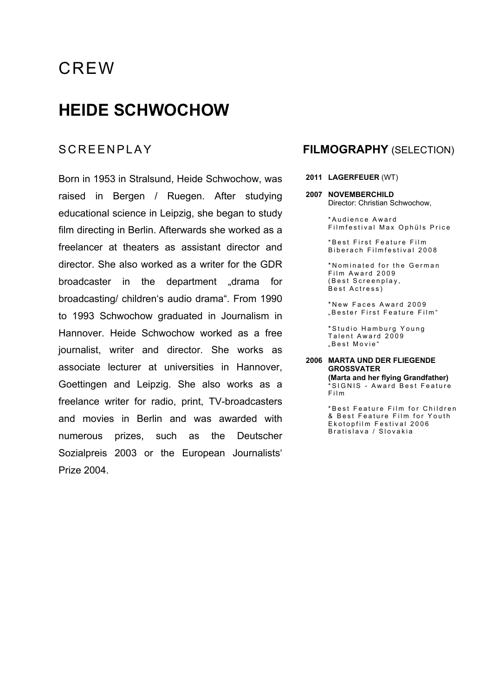### **HEIDE SCHWOCHOW**

Born in 1953 in Stralsund, Heide Schwochow, was raised in Bergen / Ruegen. After studying educational science in Leipzig, she began to study film directing in Berlin. Afterwards she worked as a freelancer at theaters as assistant director and director. She also worked as a writer for the GDR broadcaster in the department "drama for broadcasting/ children's audio drama". From 1990 to 1993 Schwochow graduated in Journalism in Hannover. Heide Schwochow worked as a free journalist, writer and director. She works as associate lecturer at universities in Hannover, Goettingen and Leipzig. She also works as a freelance writer for radio, print, TV-broadcasters and movies in Berlin and was awarded with numerous prizes, such as the Deutscher Sozialpreis 2003 or the European Journalists' Prize 2004.

#### SCREENPLAY **FILMOGRAPHY** (SELECTION)

#### **2011 LAGERFEUER** (WT)

**2007 NOVEMBERCHILD** Director: Christian Schwochow,

> \* Audience Award Filmfestival Max Ophüls Price

\*Best First Feature Film Biberach Filmfestival 2008

\* Nominated for the German Film Award 2009 (Best Screenplay, Best Actress)

\* New Faces Award 2009 "Bester First Feature Film "

\* Studio Hamburg Young Talent Award 2009 "Best Movie"

#### **2006 MARTA UND DER FLIEGENDE GROSSVATER**

**(Marta and her flying Grandfather)** \* SIGNIS - Award Best Feature Film

\* Best Feature Film for Children & Best Feature Film for Youth Ekotopfilm Festival 2006 Bratislava / Slovakia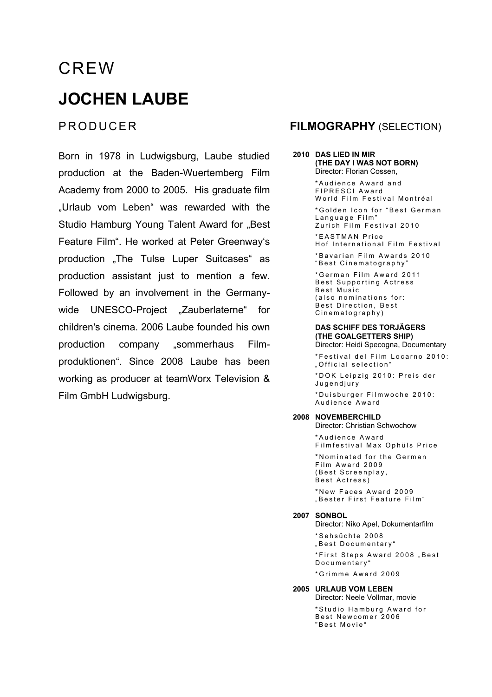# CREW **JOCHEN LAUBE**

Born in 1978 in Ludwigsburg, Laube studied production at the Baden-Wuertemberg Film Academy from 2000 to 2005. His graduate film "Urlaub vom Leben" was rewarded with the Studio Hamburg Young Talent Award for "Best Feature Film". He worked at Peter Greenway's production .The Tulse Luper Suitcases" as production assistant just to mention a few. Followed by an involvement in the Germanywide UNESCO-Project "Zauberlaterne" for children's cinema. 2006 Laube founded his own production company "sommerhaus Filmproduktionen". Since 2008 Laube has been working as producer at teamWorx Television & Film GmbH Ludwigsburg.

#### PRODUCER **FILMOGRAPHY** (SELECTION)

#### **2010 DAS LIED IN MIR (THE DAY I WAS NOT BORN)** Director: Florian Cossen,

\* Audience Award and FIPRESCI Award World Film Festival Montréal \* Golden Icon for "Best German Language Film" Zurich Film Festival 2010 \* EASTMAN Price Hof International Film Festival

\* Bavarian Film Awards 2010 "Best Cinematography"

\*German Film Award 2011 Best Supporting Actress Best Music (also nominations for: Best Direction, Best Cinematography)

#### **DAS SCHIFF DES TORJÄGERS (THE GOALGETTERS SHIP)**

Director: Heidi Specogna, Documentary

\*Festival del Film Locarno 2010: "Official selection"

\*DOK Le ipzig 2010: Preis der Jugendjury

\*Duisburger Filmwoche 2010: Audience Award

#### **2008 NOVEMBERCHILD**

Director: Christian Schwochow

\* Audience Award Filmfestival Max Ophüls Price

\* Nominated for the German Film Award 2009 (Best Screenplay, Best Actress)

\* New Faces Award 2009 "Bester First Feature Film "

#### **2007 SONBOL**

Director: Niko Apel, Dokumentarfilm \* Sehsüchte 2008 "Best Documentary" \*First Steps Award 2008 "Best Documentary"

\*Grimme Award 2009

#### **2005 URLAUB VOM LEBEN**

Director: Neele Vollmar, movie

\* Studio Hamburg Award for Best Newcomer 2006 " Best Movie"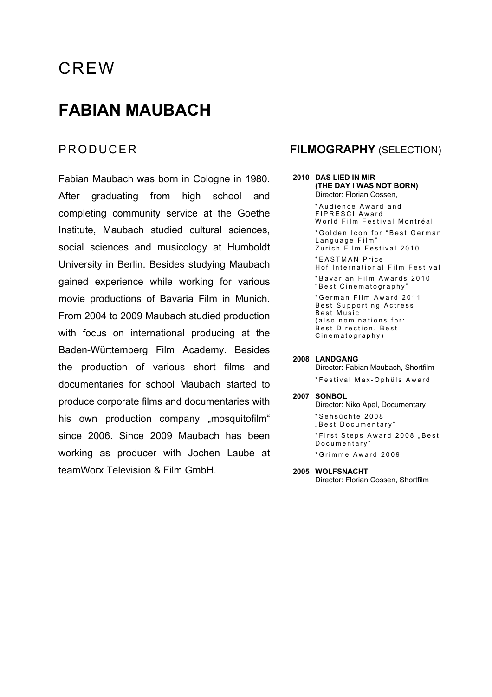### **FABIAN MAUBACH**

Fabian Maubach was born in Cologne in 1980. After graduating from high school and completing community service at the Goethe Institute, Maubach studied cultural sciences, social sciences and musicology at Humboldt University in Berlin. Besides studying Maubach gained experience while working for various movie productions of Bavaria Film in Munich. From 2004 to 2009 Maubach studied production with focus on international producing at the Baden-Württemberg Film Academy. Besides the production of various short films and documentaries for school Maubach started to produce corporate films and documentaries with his own production company "mosquitofilm" since 2006. Since 2009 Maubach has been working as producer with Jochen Laube at teamWorx Television & Film GmbH.

#### PRODUCER **FILMOGRAPHY** (SELECTION)

#### **2010 DAS LIED IN MIR (THE DAY I WAS NOT BORN)** Director: Florian Cossen,

\* Audience Award and FIPRESCI Award World Film Festival Montréal \* Golden Icon for "Best German Language Film" Zurich Film Festival 2010 \* EASTMAN Price Hof International Film Festival

\* Bavarian Film Awards 2010 "Best Cinematography"

\*German Film Award 20 1 1 Best Supporting Actress Best Music (also nominations for: Best Direction, Best Cinematography)

#### **2008 LANDGANG**

Director: Fabian Maubach, Shortfilm \*Festival Max - Ophüls Award

**2007 SONBOL** Director: Niko Apel, Documentary

> \* Sehsüchte 200 8 "Best Documentary" \*First Steps Award 2008 "Best Documentary" \*Grimme Award 2009

**2005 WOLFSNACHT** Director: Florian Cossen, Shortfilm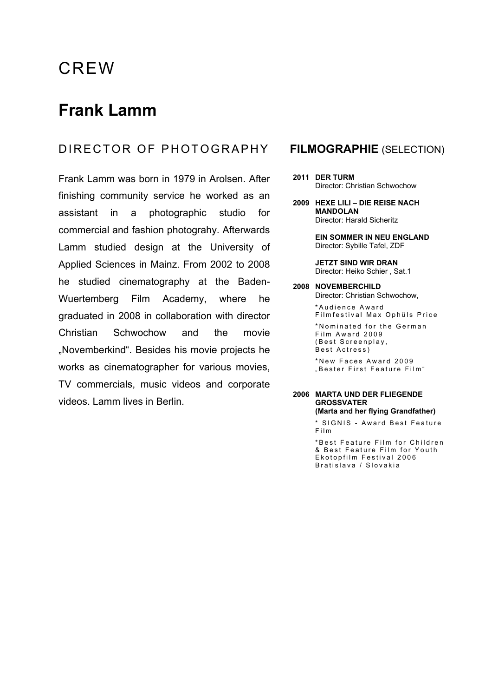### **Frank Lamm**

### DIRECTOR OF PHOTOGRAPHY **FILMOGRAPHIE** (SELECTION)

Frank Lamm was born in 1979 in Arolsen. After finishing community service he worked as an assistant in a photographic studio for commercial and fashion photograhy. Afterwards Lamm studied design at the University of Applied Sciences in Mainz. From 2002 to 2008 he studied cinematography at the Baden-Wuertemberg Film Academy, where he graduated in 2008 in collaboration with director Christian Schwochow and the movie "Novemberkind". Besides his movie projects he works as cinematographer for various movies, TV commercials, music videos and corporate videos. Lamm lives in Berlin.

- **2011 DER TURM** Director: Christian Schwochow
- **2009 HEXE LILI DIE REISE NACH MANDOLAN** Director: Harald Sicheritz

**EIN SOMMER IN NEU ENGLAND** Director: Sybille Tafel, ZDF

**JETZT SIND WIR DRAN** Director: Heiko Schier , Sat.1

**2008 NOVEMBERCHILD** Director: Christian Schwochow, \* Audience Award

Filmfestival Max Ophüls Price

\* Nominated for the German Film Award 2009 (Best Screenplay, Best Actress)

\* New Faces Award 2009 "Bester First Feature Film "

#### **2006 MARTA UND DER FLIEGENDE GROSSVATER (Marta and her flying Grandfather)**

\* SIGNIS - Award Best Feature Film

\* Best Feature Film for Children & Best Feature Film for Youth Ekotopfilm Festival 2006 Bratislava / Slovakia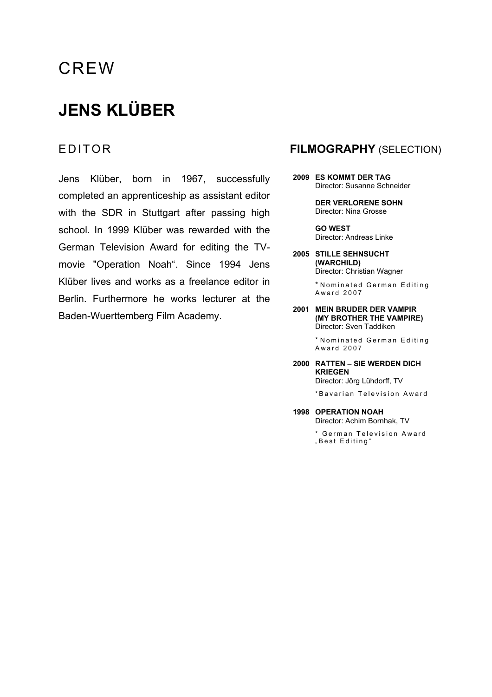# **JENS KLÜBER**

Jens Klüber, born in 1967, successfully completed an apprenticeship as assistant editor with the SDR in Stuttgart after passing high school. In 1999 Klüber was rewarded with the German Television Award for editing the TVmovie "Operation Noah". Since 1994 Jens Klüber lives and works as a freelance editor in Berlin. Furthermore he works lecturer at the Baden-Wuerttemberg Film Academy.

#### EDITOR **FILMOGRAPHY** (SELECTION)

**2009 ES KOMMT DER TAG** Director: Susanne Schneider

> **DER VERLORENE SOHN** Director: Nina Grosse

**GO WEST** Director: Andreas Linke

**2005 STILLE SEHNSUCHT (WARCHILD)** Director: Christian Wagner

> \* Nominated German Editing Award 2007

**2001 MEIN BRUDER DER VAMPIR (MY BROTHER THE VAMPIRE)** Director: Sven Taddiken

> \* Nominated German Editing Award 2007

#### **2000 RATTEN – SIE WERDEN DICH KRIEGEN**

Director: Jörg Lühdorff, TV

\* Bavarian Television Award

**1998 OPERATION NOAH** Director: Achim Bornhak, TV

> \* German Television Award "Best Editing"